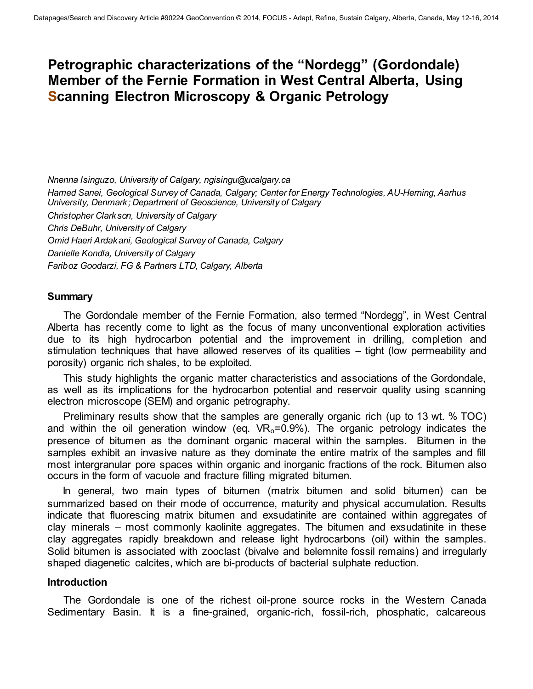# **Petrographic characterizations of the "Nordegg" (Gordondale) Member of the Fernie Formation in West Central Alberta, Using Scanning Electron Microscopy & Organic Petrology**

*Nnenna Isinguzo, University of Calgary, ngisingu@ucalgary.ca Hamed Sanei, Geological Survey of Canada, Calgary; Center for Energy Technologies, AU-Herning, Aarhus University, Denmark; Department of Geoscience, University of Calgary Christopher Clarkson, University of Calgary Chris DeBuhr, University of Calgary Omid Haeri Ardakani, Geological Survey of Canada, Calgary Danielle Kondla, University of Calgary Fariboz Goodarzi, FG & Partners LTD, Calgary, Alberta* 

#### **Summary**

The Gordondale member of the Fernie Formation, also termed "Nordegg", in West Central Alberta has recently come to light as the focus of many unconventional exploration activities due to its high hydrocarbon potential and the improvement in drilling, completion and stimulation techniques that have allowed reserves of its qualities – tight (low permeability and porosity) organic rich shales, to be exploited.

This study highlights the organic matter characteristics and associations of the Gordondale, as well as its implications for the hydrocarbon potential and reservoir quality using scanning electron microscope (SEM) and organic petrography.

Preliminary results show that the samples are generally organic rich (up to 13 wt. % TOC) and within the oil generation window (eq.  $VR<sub>o</sub>=0.9%$ ). The organic petrology indicates the presence of bitumen as the dominant organic maceral within the samples. Bitumen in the samples exhibit an invasive nature as they dominate the entire matrix of the samples and fill most intergranular pore spaces within organic and inorganic fractions of the rock. Bitumen also occurs in the form of vacuole and fracture filling migrated bitumen.

In general, two main types of bitumen (matrix bitumen and solid bitumen) can be summarized based on their mode of occurrence, maturity and physical accumulation. Results indicate that fluorescing matrix bitumen and exsudatinite are contained within aggregates of clay minerals – most commonly kaolinite aggregates. The bitumen and exsudatinite in these clay aggregates rapidly breakdown and release light hydrocarbons (oil) within the samples. Solid bitumen is associated with zooclast (bivalve and belemnite fossil remains) and irregularly shaped diagenetic calcites, which are bi-products of bacterial sulphate reduction.

#### **Introduction**

The Gordondale is one of the richest oil-prone source rocks in the Western Canada Sedimentary Basin. It is a fine-grained, organic-rich, fossil-rich, phosphatic, calcareous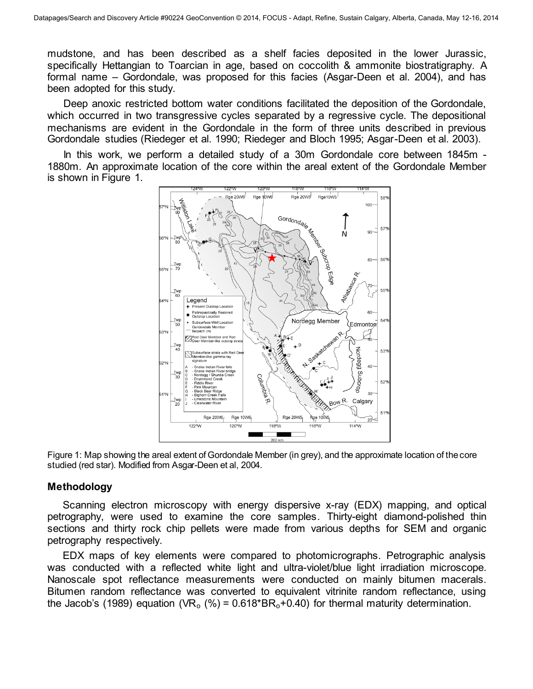mudstone, and has been described as a shelf facies deposited in the lower Jurassic, specifically Hettangian to Toarcian in age, based on coccolith & ammonite biostratigraphy. A formal name – Gordondale, was proposed for this facies (Asgar-Deen et al. 2004), and has been adopted for this study.

Deep anoxic restricted bottom water conditions facilitated the deposition of the Gordondale, which occurred in two transgressive cycles separated by a regressive cycle. The depositional mechanisms are evident in the Gordondale in the form of three units described in previous Gordondale studies (Riedeger et al. 1990; Riedeger and Bloch 1995; Asgar-Deen et al. 2003).

In this work, we perform a detailed study of a 30m Gordondale core between 1845m - 1880m. An approximate location of the core within the areal extent of the Gordondale Member is shown in Figure 1.



Figure 1: Map showing the areal extent of Gordondale Member (in grey), and the approximate location of the core studied (red star). Modified from Asgar-Deen et al, 2004.

## **Methodology**

Scanning electron microscopy with energy dispersive x-ray (EDX) mapping, and optical petrography, were used to examine the core samples. Thirty-eight diamond-polished thin sections and thirty rock chip pellets were made from various depths for SEM and organic petrography respectively.

EDX maps of key elements were compared to photomicrographs. Petrographic analysis was conducted with a reflected white light and ultra-violet/blue light irradiation microscope. Nanoscale spot reflectance measurements were conducted on mainly bitumen macerals. Bitumen random reflectance was converted to equivalent vitrinite random reflectance, using the Jacob's (1989) equation (VR<sub>o</sub> (%) =  $0.618*BR_0+0.40$ ) for thermal maturity determination.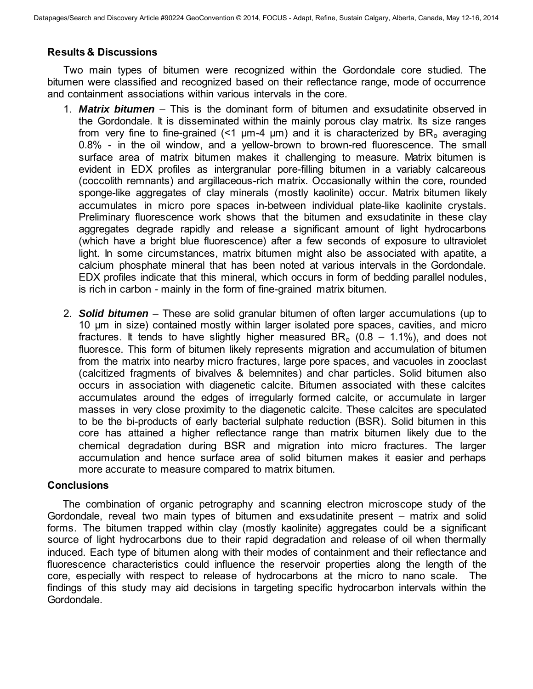## **Results & Discussions**

Two main types of bitumen were recognized within the Gordondale core studied. The bitumen were classified and recognized based on their reflectance range, mode of occurrence and containment associations within various intervals in the core.

- 1. *Matrix bitumen* This is the dominant form of bitumen and exsudatinite observed in the Gordondale. It is disseminated within the mainly porous clay matrix. Its size ranges from very fine to fine-grained  $(1 \mu m - 4 \mu m)$  and it is characterized by BR<sub>o</sub> averaging 0.8% - in the oil window, and a yellow-brown to brown-red fluorescence. The small surface area of matrix bitumen makes it challenging to measure. Matrix bitumen is evident in EDX profiles as intergranular pore-filling bitumen in a variably calcareous (coccolith remnants) and argillaceous-rich matrix. Occasionally within the core, rounded sponge-like aggregates of clay minerals (mostly kaolinite) occur. Matrix bitumen likely accumulates in micro pore spaces in-between individual plate-like kaolinite crystals. Preliminary fluorescence work shows that the bitumen and exsudatinite in these clay aggregates degrade rapidly and release a significant amount of light hydrocarbons (which have a bright blue fluorescence) after a few seconds of exposure to ultraviolet light. In some circumstances, matrix bitumen might also be associated with apatite, a calcium phosphate mineral that has been noted at various intervals in the Gordondale. EDX profiles indicate that this mineral, which occurs in form of bedding parallel nodules, is rich in carbon - mainly in the form of fine-grained matrix bitumen.
- 2. *Solid bitumen* These are solid granular bitumen of often larger accumulations (up to 10 µm in size) contained mostly within larger isolated pore spaces, cavities, and micro fractures. It tends to have slightly higher measured  $BR<sub>o</sub>$  (0.8 – 1.1%), and does not fluoresce. This form of bitumen likely represents migration and accumulation of bitumen from the matrix into nearby micro fractures, large pore spaces, and vacuoles in zooclast (calcitized fragments of bivalves & belemnites) and char particles. Solid bitumen also occurs in association with diagenetic calcite. Bitumen associated with these calcites accumulates around the edges of irregularly formed calcite, or accumulate in larger masses in very close proximity to the diagenetic calcite. These calcites are speculated to be the bi-products of early bacterial sulphate reduction (BSR). Solid bitumen in this core has attained a higher reflectance range than matrix bitumen likely due to the chemical degradation during BSR and migration into micro fractures. The larger accumulation and hence surface area of solid bitumen makes it easier and perhaps more accurate to measure compared to matrix bitumen.

## **Conclusions**

The combination of organic petrography and scanning electron microscope study of the Gordondale, reveal two main types of bitumen and exsudatinite present – matrix and solid forms. The bitumen trapped within clay (mostly kaolinite) aggregates could be a significant source of light hydrocarbons due to their rapid degradation and release of oil when thermally induced. Each type of bitumen along with their modes of containment and their reflectance and fluorescence characteristics could influence the reservoir properties along the length of the core, especially with respect to release of hydrocarbons at the micro to nano scale. The findings of this study may aid decisions in targeting specific hydrocarbon intervals within the Gordondale.